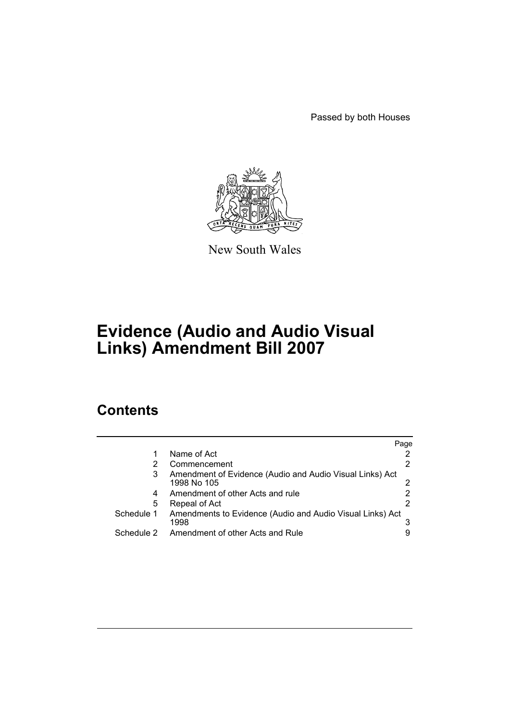Passed by both Houses



New South Wales

# **Evidence (Audio and Audio Visual Links) Amendment Bill 2007**

# **Contents**

|            |                                                                         | Page |
|------------|-------------------------------------------------------------------------|------|
|            | Name of Act                                                             |      |
| 2          | Commencement                                                            |      |
| 3          | Amendment of Evidence (Audio and Audio Visual Links) Act<br>1998 No 105 |      |
| 4          | Amendment of other Acts and rule                                        |      |
| 5          | Repeal of Act                                                           |      |
| Schedule 1 | Amendments to Evidence (Audio and Audio Visual Links) Act<br>1998       |      |
| Schedule 2 | Amendment of other Acts and Rule                                        |      |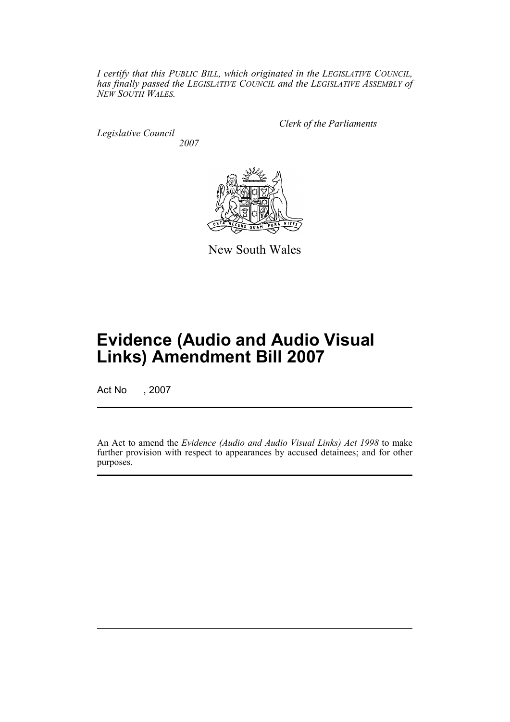*I certify that this PUBLIC BILL, which originated in the LEGISLATIVE COUNCIL, has finally passed the LEGISLATIVE COUNCIL and the LEGISLATIVE ASSEMBLY of NEW SOUTH WALES.*

*Legislative Council 2007* *Clerk of the Parliaments*



New South Wales

# **Evidence (Audio and Audio Visual Links) Amendment Bill 2007**

Act No , 2007

An Act to amend the *Evidence (Audio and Audio Visual Links) Act 1998* to make further provision with respect to appearances by accused detainees; and for other purposes.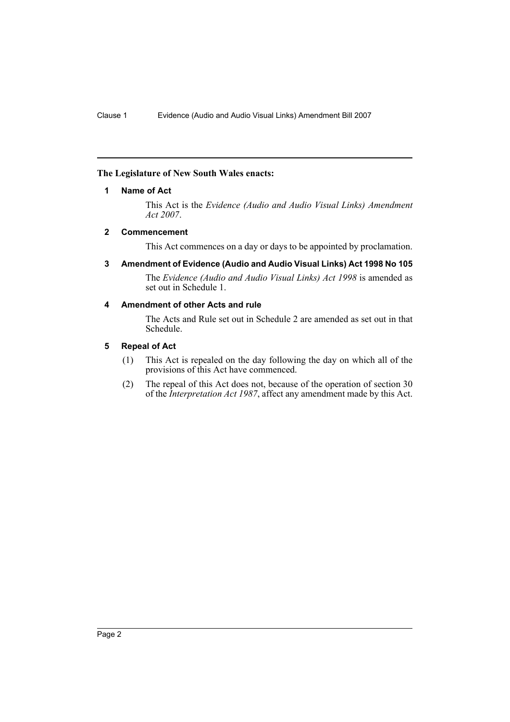### <span id="page-2-0"></span>**The Legislature of New South Wales enacts:**

### **1 Name of Act**

This Act is the *Evidence (Audio and Audio Visual Links) Amendment Act 2007*.

#### <span id="page-2-1"></span>**2 Commencement**

This Act commences on a day or days to be appointed by proclamation.

<span id="page-2-2"></span>**3 Amendment of Evidence (Audio and Audio Visual Links) Act 1998 No 105**

The *Evidence (Audio and Audio Visual Links) Act 1998* is amended as set out in Schedule 1.

# <span id="page-2-3"></span>**4 Amendment of other Acts and rule**

The Acts and Rule set out in Schedule 2 are amended as set out in that Schedule.

### <span id="page-2-4"></span>**5 Repeal of Act**

- (1) This Act is repealed on the day following the day on which all of the provisions of this Act have commenced.
- (2) The repeal of this Act does not, because of the operation of section 30 of the *Interpretation Act 1987*, affect any amendment made by this Act.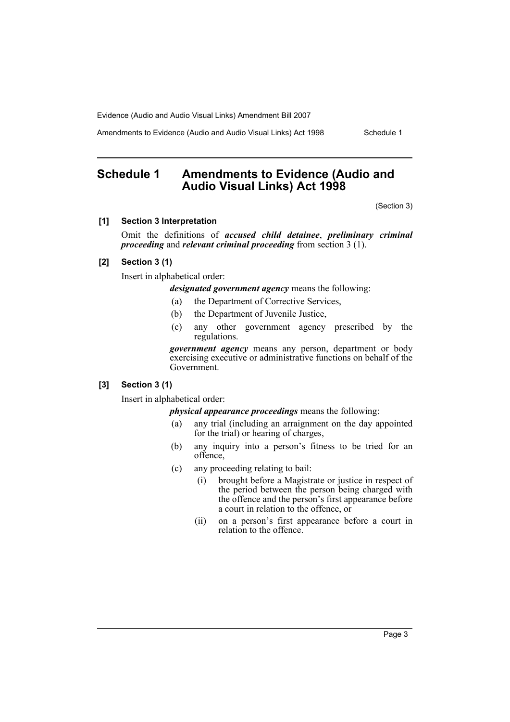Amendments to Evidence (Audio and Audio Visual Links) Act 1998 Schedule 1

# <span id="page-3-0"></span>**Schedule 1 Amendments to Evidence (Audio and Audio Visual Links) Act 1998**

(Section 3)

#### **[1] Section 3 Interpretation**

Omit the definitions of *accused child detainee*, *preliminary criminal proceeding* and *relevant criminal proceeding* from section 3 (1).

# **[2] Section 3 (1)**

Insert in alphabetical order:

*designated government agency* means the following:

- (a) the Department of Corrective Services,
- (b) the Department of Juvenile Justice,
- (c) any other government agency prescribed by the regulations.

*government agency* means any person, department or body exercising executive or administrative functions on behalf of the Government.

#### **[3] Section 3 (1)**

Insert in alphabetical order:

*physical appearance proceedings* means the following:

- (a) any trial (including an arraignment on the day appointed for the trial) or hearing of charges,
- (b) any inquiry into a person's fitness to be tried for an offence,
- (c) any proceeding relating to bail:
	- (i) brought before a Magistrate or justice in respect of the period between the person being charged with the offence and the person's first appearance before a court in relation to the offence, or
	- (ii) on a person's first appearance before a court in relation to the offence.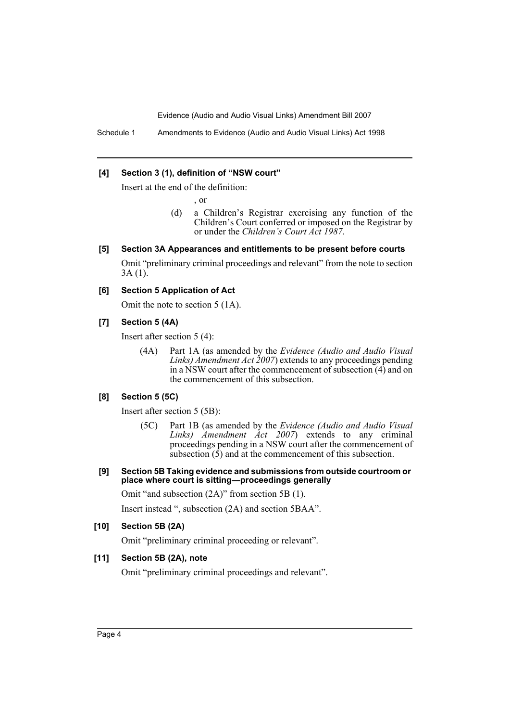Schedule 1 Amendments to Evidence (Audio and Audio Visual Links) Act 1998

#### **[4] Section 3 (1), definition of "NSW court"**

Insert at the end of the definition:

, or

(d) a Children's Registrar exercising any function of the Children's Court conferred or imposed on the Registrar by or under the *Children's Court Act 1987*.

#### **[5] Section 3A Appearances and entitlements to be present before courts**

Omit "preliminary criminal proceedings and relevant" from the note to section  $3A(1)$ .

#### **[6] Section 5 Application of Act**

Omit the note to section 5 (1A).

#### **[7] Section 5 (4A)**

Insert after section 5 (4):

(4A) Part 1A (as amended by the *Evidence (Audio and Audio Visual Links) Amendment Act 2007*) extends to any proceedings pending in a NSW court after the commencement of subsection (4) and on the commencement of this subsection.

#### **[8] Section 5 (5C)**

Insert after section 5 (5B):

- (5C) Part 1B (as amended by the *Evidence (Audio and Audio Visual Links) Amendment Act 2007*) extends to any criminal proceedings pending in a NSW court after the commencement of subsection  $(\bar{5})$  and at the commencement of this subsection.
- **[9] Section 5B Taking evidence and submissions from outside courtroom or place where court is sitting—proceedings generally**

Omit "and subsection (2A)" from section 5B (1).

Insert instead ", subsection (2A) and section 5BAA".

#### **[10] Section 5B (2A)**

Omit "preliminary criminal proceeding or relevant".

### **[11] Section 5B (2A), note**

Omit "preliminary criminal proceedings and relevant".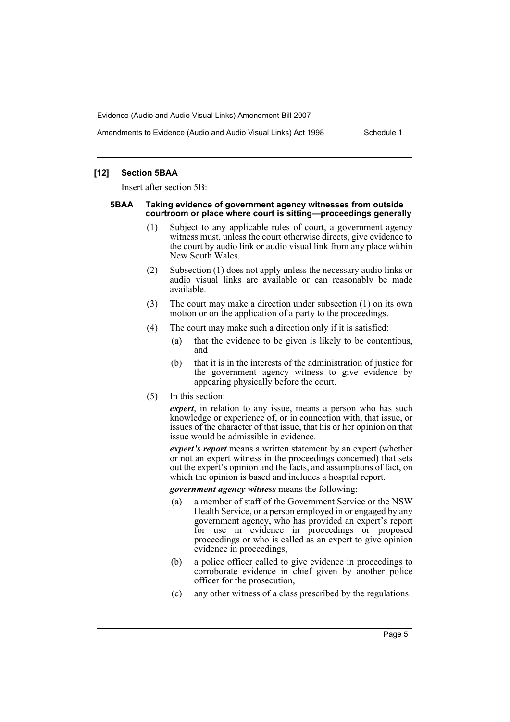Amendments to Evidence (Audio and Audio Visual Links) Act 1998 Schedule 1

#### **[12] Section 5BAA**

Insert after section 5B:

#### **5BAA Taking evidence of government agency witnesses from outside courtroom or place where court is sitting—proceedings generally**

- (1) Subject to any applicable rules of court, a government agency witness must, unless the court otherwise directs, give evidence to the court by audio link or audio visual link from any place within New South Wales.
- (2) Subsection (1) does not apply unless the necessary audio links or audio visual links are available or can reasonably be made available.
- (3) The court may make a direction under subsection (1) on its own motion or on the application of a party to the proceedings.
- (4) The court may make such a direction only if it is satisfied:
	- (a) that the evidence to be given is likely to be contentious, and
	- (b) that it is in the interests of the administration of justice for the government agency witness to give evidence by appearing physically before the court.
- (5) In this section:

*expert*, in relation to any issue, means a person who has such knowledge or experience of, or in connection with, that issue, or issues of the character of that issue, that his or her opinion on that issue would be admissible in evidence.

*expert's report* means a written statement by an expert (whether or not an expert witness in the proceedings concerned) that sets out the expert's opinion and the facts, and assumptions of fact, on which the opinion is based and includes a hospital report.

*government agency witness* means the following:

- (a) a member of staff of the Government Service or the NSW Health Service, or a person employed in or engaged by any government agency, who has provided an expert's report for use in evidence in proceedings or proposed proceedings or who is called as an expert to give opinion evidence in proceedings,
- (b) a police officer called to give evidence in proceedings to corroborate evidence in chief given by another police officer for the prosecution,
- (c) any other witness of a class prescribed by the regulations.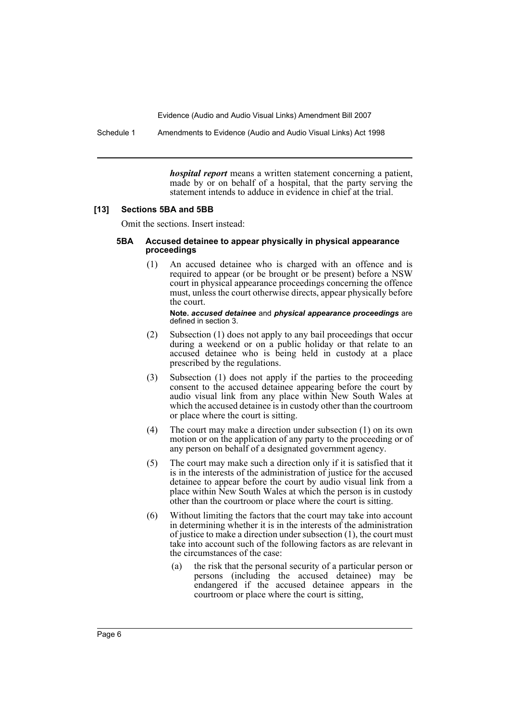Schedule 1 Amendments to Evidence (Audio and Audio Visual Links) Act 1998

*hospital report* means a written statement concerning a patient, made by or on behalf of a hospital, that the party serving the statement intends to adduce in evidence in chief at the trial.

#### **[13] Sections 5BA and 5BB**

Omit the sections. Insert instead:

#### **5BA Accused detainee to appear physically in physical appearance proceedings**

(1) An accused detainee who is charged with an offence and is required to appear (or be brought or be present) before a NSW court in physical appearance proceedings concerning the offence must, unless the court otherwise directs, appear physically before the court.

**Note.** *accused detainee* and *physical appearance proceedings* are defined in section 3.

- (2) Subsection (1) does not apply to any bail proceedings that occur during a weekend or on a public holiday or that relate to an accused detainee who is being held in custody at a place prescribed by the regulations.
- (3) Subsection (1) does not apply if the parties to the proceeding consent to the accused detainee appearing before the court by audio visual link from any place within New South Wales at which the accused detainee is in custody other than the courtroom or place where the court is sitting.
- (4) The court may make a direction under subsection (1) on its own motion or on the application of any party to the proceeding or of any person on behalf of a designated government agency.
- (5) The court may make such a direction only if it is satisfied that it is in the interests of the administration of justice for the accused detainee to appear before the court by audio visual link from a place within New South Wales at which the person is in custody other than the courtroom or place where the court is sitting.
- (6) Without limiting the factors that the court may take into account in determining whether it is in the interests of the administration of justice to make a direction under subsection (1), the court must take into account such of the following factors as are relevant in the circumstances of the case:
	- (a) the risk that the personal security of a particular person or persons (including the accused detainee) may be endangered if the accused detainee appears in the courtroom or place where the court is sitting,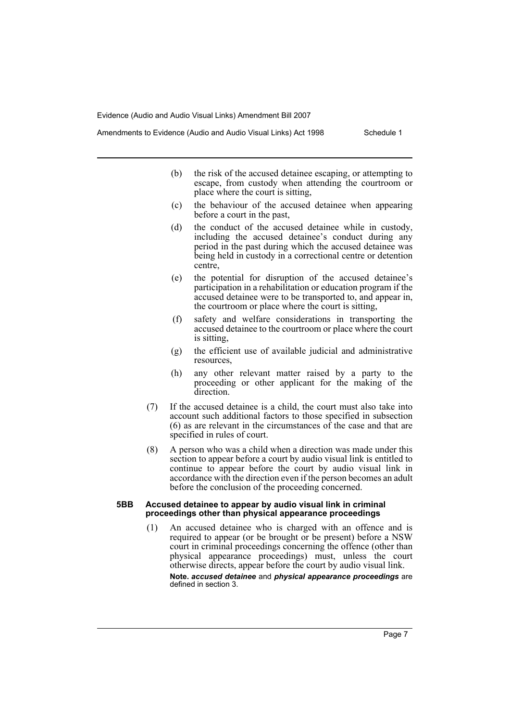Amendments to Evidence (Audio and Audio Visual Links) Act 1998 Schedule 1

- (b) the risk of the accused detainee escaping, or attempting to escape, from custody when attending the courtroom or place where the court is sitting,
- (c) the behaviour of the accused detainee when appearing before a court in the past,
- (d) the conduct of the accused detainee while in custody, including the accused detainee's conduct during any period in the past during which the accused detainee was being held in custody in a correctional centre or detention centre,
- (e) the potential for disruption of the accused detainee's participation in a rehabilitation or education program if the accused detainee were to be transported to, and appear in, the courtroom or place where the court is sitting,
- (f) safety and welfare considerations in transporting the accused detainee to the courtroom or place where the court is sitting,
- (g) the efficient use of available judicial and administrative resources,
- (h) any other relevant matter raised by a party to the proceeding or other applicant for the making of the direction.
- (7) If the accused detainee is a child, the court must also take into account such additional factors to those specified in subsection (6) as are relevant in the circumstances of the case and that are specified in rules of court.
- (8) A person who was a child when a direction was made under this section to appear before a court by audio visual link is entitled to continue to appear before the court by audio visual link in accordance with the direction even if the person becomes an adult before the conclusion of the proceeding concerned.

#### **5BB Accused detainee to appear by audio visual link in criminal**  proceedings other than physical appearance proceedings

(1) An accused detainee who is charged with an offence and is required to appear (or be brought or be present) before a NSW court in criminal proceedings concerning the offence (other than physical appearance proceedings) must, unless the court otherwise directs, appear before the court by audio visual link. **Note.** *accused detainee* and *physical appearance proceedings* are defined in section 3.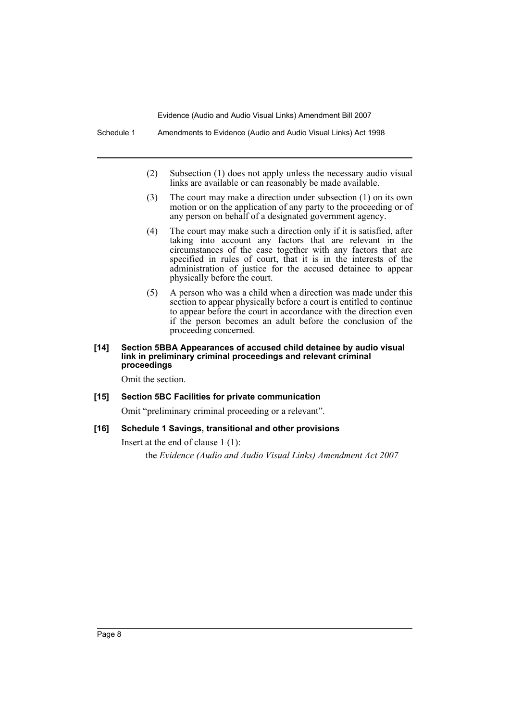Schedule 1 Amendments to Evidence (Audio and Audio Visual Links) Act 1998

- (2) Subsection (1) does not apply unless the necessary audio visual links are available or can reasonably be made available.
- (3) The court may make a direction under subsection (1) on its own motion or on the application of any party to the proceeding or of any person on behalf of a designated government agency.
- (4) The court may make such a direction only if it is satisfied, after taking into account any factors that are relevant in the circumstances of the case together with any factors that are specified in rules of court, that it is in the interests of the administration of justice for the accused detainee to appear physically before the court.
- (5) A person who was a child when a direction was made under this section to appear physically before a court is entitled to continue to appear before the court in accordance with the direction even if the person becomes an adult before the conclusion of the proceeding concerned.

#### **[14] Section 5BBA Appearances of accused child detainee by audio visual link in preliminary criminal proceedings and relevant criminal proceedings**

Omit the section.

# **[15] Section 5BC Facilities for private communication**

Omit "preliminary criminal proceeding or a relevant".

# **[16] Schedule 1 Savings, transitional and other provisions**

Insert at the end of clause 1 (1):

the *Evidence (Audio and Audio Visual Links) Amendment Act 2007*